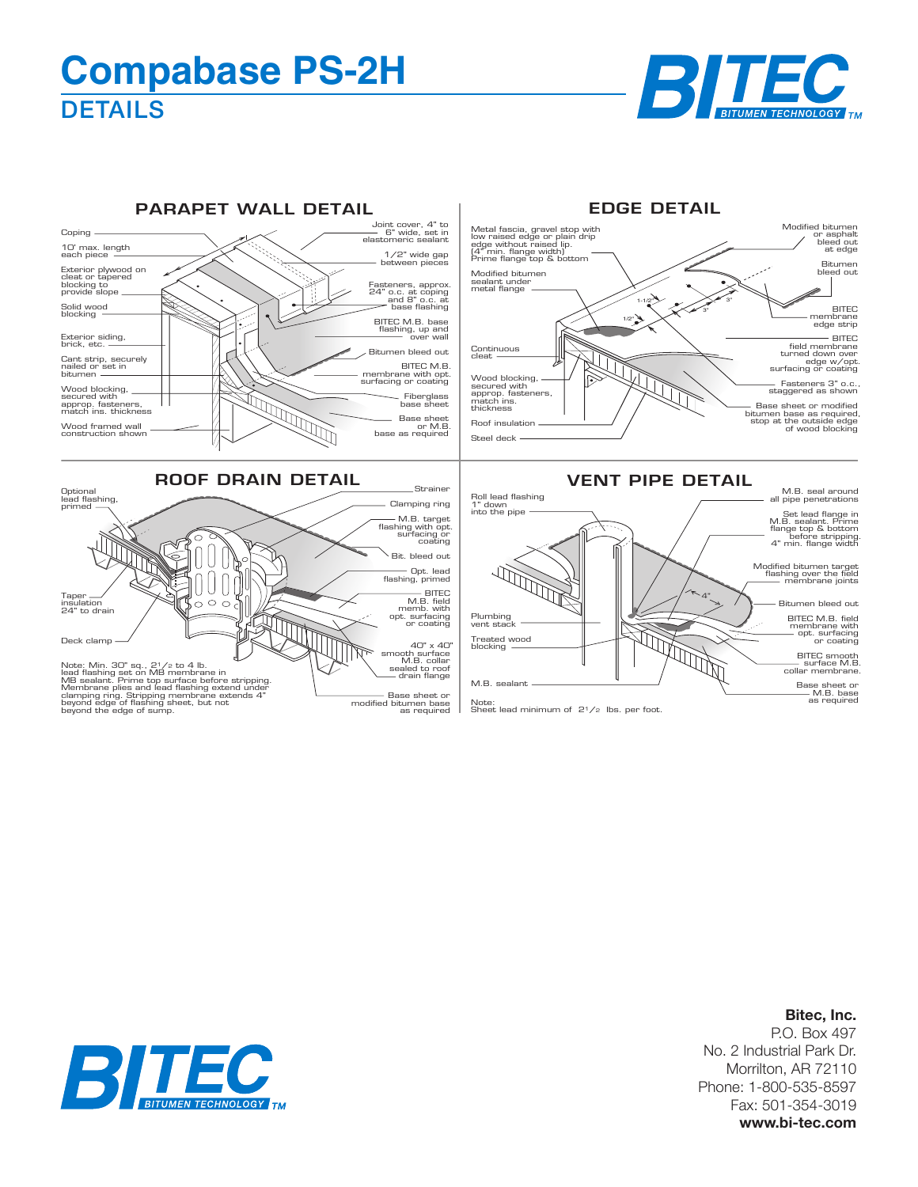## **DETAILS Compabase PS-2H**





## **Bitec, Inc.**

P.O. Box 497 No. 2 Industrial Park Dr. Morrilton, AR 72110 Phone: 1-800-535-8597 Fax: 501-354-3019 **www.bi-tec.com**